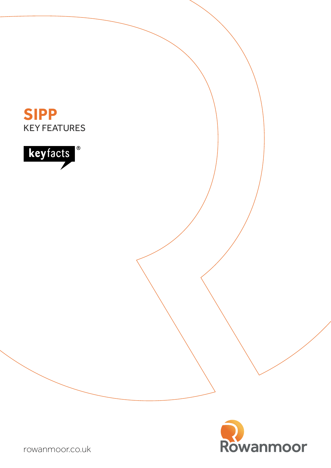





[rowanmoor.co.uk](http://www.rowanmoor.co.uk)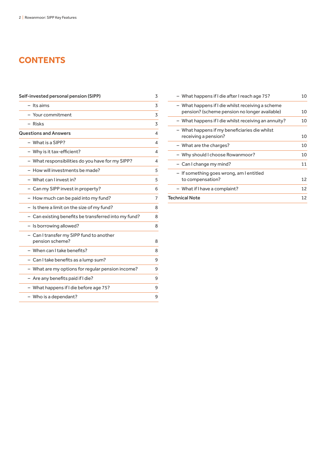# **CONTENTS**

| - Its aims<br>Your commitment<br>3<br>- Risks<br><b>Questions and Answers</b><br>- What is a SIPP?<br>- Why is it tax-efficient?<br>- What responsibilities do you have for my SIPP?<br>- How will investments be made?<br>- What can Linvest in?<br>- Can my SIPP invest in property?<br>- How much can be paid into my fund?<br>7<br>- Is there a limit on the size of my fund?<br>- Can existing benefits be transferred into my fund?<br>- Is borrowing allowed?<br>- Can I transfer my SIPP fund to another<br>pension scheme?<br>- When can I take benefits?<br>- Can I take benefits as a lump sum?<br>- What are my options for regular pension income?<br>9<br>- Are any benefits paid if I die?<br>- What happens if I die before age 75?<br>9<br>- Who is a dependant?<br>9 | Self-invested personal pension (SIPP) | 3 |
|----------------------------------------------------------------------------------------------------------------------------------------------------------------------------------------------------------------------------------------------------------------------------------------------------------------------------------------------------------------------------------------------------------------------------------------------------------------------------------------------------------------------------------------------------------------------------------------------------------------------------------------------------------------------------------------------------------------------------------------------------------------------------------------|---------------------------------------|---|
|                                                                                                                                                                                                                                                                                                                                                                                                                                                                                                                                                                                                                                                                                                                                                                                        |                                       | 3 |
|                                                                                                                                                                                                                                                                                                                                                                                                                                                                                                                                                                                                                                                                                                                                                                                        |                                       |   |
|                                                                                                                                                                                                                                                                                                                                                                                                                                                                                                                                                                                                                                                                                                                                                                                        |                                       | 3 |
|                                                                                                                                                                                                                                                                                                                                                                                                                                                                                                                                                                                                                                                                                                                                                                                        |                                       | 4 |
|                                                                                                                                                                                                                                                                                                                                                                                                                                                                                                                                                                                                                                                                                                                                                                                        |                                       | 4 |
|                                                                                                                                                                                                                                                                                                                                                                                                                                                                                                                                                                                                                                                                                                                                                                                        |                                       | 4 |
|                                                                                                                                                                                                                                                                                                                                                                                                                                                                                                                                                                                                                                                                                                                                                                                        |                                       | 4 |
|                                                                                                                                                                                                                                                                                                                                                                                                                                                                                                                                                                                                                                                                                                                                                                                        |                                       | 5 |
|                                                                                                                                                                                                                                                                                                                                                                                                                                                                                                                                                                                                                                                                                                                                                                                        |                                       | 5 |
|                                                                                                                                                                                                                                                                                                                                                                                                                                                                                                                                                                                                                                                                                                                                                                                        |                                       | 6 |
|                                                                                                                                                                                                                                                                                                                                                                                                                                                                                                                                                                                                                                                                                                                                                                                        |                                       |   |
|                                                                                                                                                                                                                                                                                                                                                                                                                                                                                                                                                                                                                                                                                                                                                                                        |                                       | 8 |
|                                                                                                                                                                                                                                                                                                                                                                                                                                                                                                                                                                                                                                                                                                                                                                                        |                                       | 8 |
|                                                                                                                                                                                                                                                                                                                                                                                                                                                                                                                                                                                                                                                                                                                                                                                        |                                       | 8 |
|                                                                                                                                                                                                                                                                                                                                                                                                                                                                                                                                                                                                                                                                                                                                                                                        |                                       | 8 |
|                                                                                                                                                                                                                                                                                                                                                                                                                                                                                                                                                                                                                                                                                                                                                                                        |                                       | 8 |
|                                                                                                                                                                                                                                                                                                                                                                                                                                                                                                                                                                                                                                                                                                                                                                                        |                                       | 9 |
|                                                                                                                                                                                                                                                                                                                                                                                                                                                                                                                                                                                                                                                                                                                                                                                        |                                       |   |
|                                                                                                                                                                                                                                                                                                                                                                                                                                                                                                                                                                                                                                                                                                                                                                                        |                                       | 9 |
|                                                                                                                                                                                                                                                                                                                                                                                                                                                                                                                                                                                                                                                                                                                                                                                        |                                       |   |
|                                                                                                                                                                                                                                                                                                                                                                                                                                                                                                                                                                                                                                                                                                                                                                                        |                                       |   |

| - What happens if I die after I reach age 75?                                                      | 10 |
|----------------------------------------------------------------------------------------------------|----|
| - What happens if I die whilst receiving a scheme<br>pension? (scheme pension no longer available) | 10 |
| - What happens if I die whilst receiving an annuity?                                               | 10 |
| - What happens if my beneficiaries die whilst<br>receiving a pension?                              | 10 |
| - What are the charges?                                                                            | 10 |
| - Why should I choose Rowanmoor?                                                                   | 10 |
| - Can I change my mind?                                                                            | 11 |
| - If something goes wrong, am I entitled<br>to compensation?                                       | 12 |
| - What if I have a complaint?                                                                      | 12 |
| <b>Technical Note</b>                                                                              | 12 |
|                                                                                                    |    |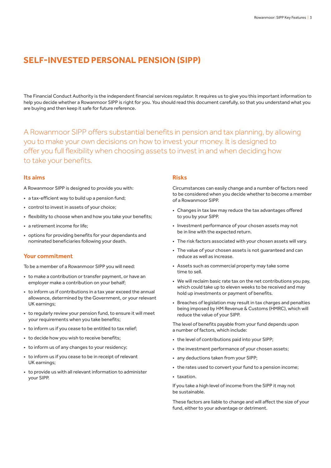# **SELF-INVESTED PERSONAL PENSION (SIPP)**

The Financial Conduct Authority is the independent financial services regulator. It requires us to give you this important information to help you decide whether a Rowanmoor SIPP is right for you. You should read this document carefully, so that you understand what you are buying and then keep it safe for future reference.

A Rowanmoor SIPP offers substantial benefits in pension and tax planning, by allowing you to make your own decisions on how to invest your money. It is designed to offer you full flexibility when choosing assets to invest in and when deciding how to take your benefits.

### **Its aims**

A Rowanmoor SIPP is designed to provide you with:

- a tax-efficient way to build up a pension fund;
- control to invest in assets of your choice;
- flexibility to choose when and how you take your benefits;
- a retirement income for life;
- options for providing benefits for your dependants and nominated beneficiaries following your death.

### **Your commitment**

To be a member of a Rowanmoor SIPP you will need:

- to make a contribution or transfer payment, or have an employer make a contribution on your behalf;
- to inform us if contributions in a tax year exceed the annual allowance, determined by the Government, or your relevant UK earnings;
- to regularly review your pension fund, to ensure it will meet your requirements when you take benefits;
- to inform us if you cease to be entitled to tax relief;
- to decide how you wish to receive benefits;
- to inform us of any changes to your residency;
- to inform us if you cease to be in receipt of relevant UK earnings;
- to provide us with all relevant information to administer your SIPP.

### **Risks**

Circumstances can easily change and a number of factors need to be considered when you decide whether to become a member of a Rowanmoor SIPP.

- Changes in tax law may reduce the tax advantages offered to you by your SIPP.
- Investment performance of your chosen assets may not be in line with the expected return.
- The risk factors associated with your chosen assets will vary.
- The value of your chosen assets is not guaranteed and can reduce as well as increase.
- Assets such as commercial property may take some time to sell.
- We will reclaim basic rate tax on the net contributions you pay, which could take up to eleven weeks to be received and may hold up investments or payment of benefits.
- Breaches of legislation may result in tax charges and penalties being imposed by HM Revenue & Customs (HMRC), which will reduce the value of your SIPP.

The level of benefits payable from your fund depends upon a number of factors, which include:

- the level of contributions paid into your SIPP;
- the investment performance of your chosen assets;
- any deductions taken from your SIPP;
- the rates used to convert your fund to a pension income;
- taxation.

If you take a high level of income from the SIPP it may not be sustainable.

These factors are liable to change and will affect the size of your fund, either to your advantage or detriment.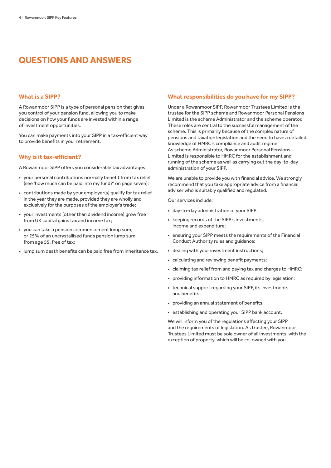# **QUESTIONS AND ANSWERS**

### **What is a SIPP?**

A Rowanmoor SIPP is a type of personal pension that gives you control of your pension fund, allowing you to make decisions on how your funds are invested within a range of investment opportunities.

You can make payments into your SIPP in a tax-efficient way to provide benefits in your retirement.

### **Why is it tax-efficient?**

A Rowanmoor SIPP offers you considerable tax advantages:

- your personal contributions normally benefit from tax relief (see 'how much can be paid into my fund?' on page seven);
- contributions made by your employer(s) qualify for tax relief in the year they are made, provided they are wholly and exclusively for the purposes of the employer's trade;
- your investments (other than dividend income) grow free from UK capital gains tax and income tax;
- you can take a pension commencement lump sum, or 25% of an uncrystallised funds pension lump sum, from age 55, free of tax;
- lump sum death benefits can be paid free from inheritance tax.

### **What responsibilities do you have for my SIPP?**

Under a Rowanmoor SIPP, Rowanmoor Trustees Limited is the trustee for the SIPP scheme and Rowanmoor Personal Pensions Limited is the scheme Administrator and the scheme operator. These roles are central to the successful management of the scheme. This is primarily because of the complex nature of pensions and taxation legislation and the need to have a detailed knowledge of HMRC's compliance and audit regime. As scheme Administrator, Rowanmoor Personal Pensions Limited is responsible to HMRC for the establishment and running of the scheme as well as carrying out the day-to-day administration of your SIPP.

We are unable to provide you with financial advice. We strongly recommend that you take appropriate advice from a financial adviser who is suitably qualified and regulated.

Our services include:

- day-to-day administration of your SIPP;
- keeping records of the SIPP's investments, income and expenditure;
- ensuring your SIPP meets the requirements of the Financial Conduct Authority rules and guidance;
- dealing with your investment instructions;
- calculating and reviewing benefit payments;
- claiming tax relief from and paying tax and charges to HMRC;
- providing information to HMRC as required by legislation;
- technical support regarding your SIPP, its investments and benefits;
- providing an annual statement of benefits;
- establishing and operating your SIPP bank account.

We will inform you of the regulations affecting your SIPP and the requirements of legislation. As trustee, Rowanmoor Trustees Limited must be sole owner of all investments, with the exception of property, which will be co-owned with you.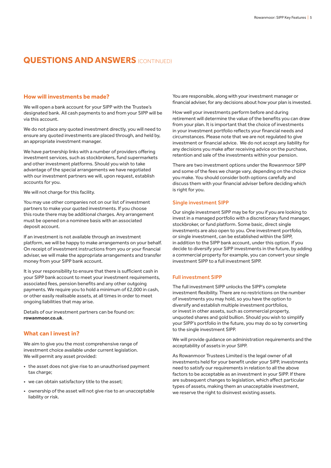### **How will investments be made?**

We will open a bank account for your SIPP with the Trustee's designated bank. All cash payments to and from your SIPP will be via this account.

We do not place any quoted investment directly, you will need to ensure any quoted investments are placed through, and held by, an appropriate investment manager.

We have partnership links with a number of providers offering investment services, such as stockbrokers, fund supermarkets and other investment platforms. Should you wish to take advantage of the special arrangements we have negotiated with our investment partners we will, upon request, establish accounts for you.

We will not charge for this facility.

You may use other companies not on our list of investment partners to make your quoted investments. If you choose this route there may be additional charges. Any arrangement must be opened on a nominee basis with an associated deposit account.

If an investment is not available through an investment platform, we will be happy to make arrangements on your behalf. On receipt of investment instructions from you or your financial adviser, we will make the appropriate arrangements and transfer money from your SIPP bank account.

It is your responsibility to ensure that there is sufficient cash in your SIPP bank account to meet your investment requirements, associated fees, pension benefits and any other outgoing payments. We require you to hold a minimum of £2,000 in cash, or other easily realisable assets, at all times in order to meet ongoing liabilities that may arise.

Details of our investment partners can be found on: **[rowanmoor.co.uk](http://www.rowanmoor.co.uk)**.

## **What can I invest in?**

We aim to give you the most comprehensive range of investment choice available under current legislation. We will permit any asset provided:

- the asset does not give rise to an unauthorised payment tax charge;
- we can obtain satisfactory title to the asset;
- ownership of the asset will not give rise to an unacceptable liability or risk.

You are responsible, along with your investment manager or financial adviser, for any decisions about how your plan is invested.

How well your investments perform before and during retirement will determine the value of the benefits you can draw from your plan. It is important that the choice of investments in your investment portfolio reflects your financial needs and circumstances. Please note that we are not regulated to give investment or financial advice. We do not accept any liability for any decisions you make after receiving advice on the purchase, retention and sale of the investments within your pension.

There are two investment options under the Rowanmoor SIPP and some of the fees we charge vary, depending on the choice you make. You should consider both options carefully and discuss them with your financial adviser before deciding which is right for you.

#### Single investment SIPP

Our single investment SIPP may be for you if you are looking to invest in a managed portfolio with a discretionary fund manager, stockbroker, or fund platform. Some basic, direct single investments are also open to you. One investment portfolio, or single investment, can be established within the SIPP, in addition to the SIPP bank account, under this option. If you decide to diversify your SIPP investments in the future, by adding a commercial property for example, you can convert your single investment SIPP to a full investment SIPP.

### Full investment SIPP

The full investment SIPP unlocks the SIPP's complete investment flexibility. There are no restrictions on the number of investments you may hold, so you have the option to diversify and establish multiple investment portfolios, or invest in other assets, such as commercial property, unquoted shares and gold bullion. Should you wish to simplify your SIPP's portfolio in the future, you may do so by converting to the single investment SIPP.

We will provide guidance on administration requirements and the acceptability of assets in your SIPP.

As Rowanmoor Trustees Limited is the legal owner of all investments held for your benefit under your SIPP, investments need to satisfy our requirements in relation to all the above factors to be acceptable as an investment in your SIPP. If there are subsequent changes to legislation, which affect particular types of assets, making them an unacceptable investment, we reserve the right to disinvest existing assets.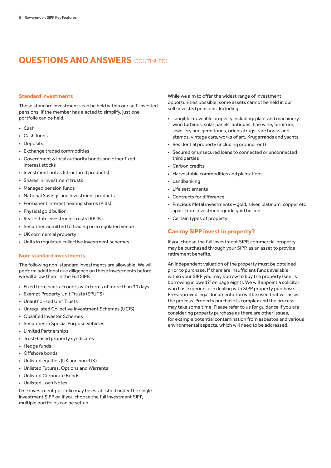#### Standard investments

These standard investments can be held within our self-invested pensions. If the member has elected to simplify, just one portfolio can be held.

- Cash
- Cash funds
- Deposits
- Exchange traded commodities
- Government & local authority bonds and other fixed interest stocks
- Investment notes (structured products)
- Shares in Investment trusts
- Managed pension funds
- National Savings and Investment products
- Permanent interest bearing shares (PIBs)
- Physical gold bullion
- Real estate investment trusts (REITs)
- Securities admitted to trading on a regulated venue
- UK commercial property
- Units in regulated collective investment schemes

### Non-standard investments

The following non-standard investments are allowable. We will perform additional due diligence on these investments before we will allow them in the Full SIPP.

- Fixed term bank accounts with terms of more than 30 days
- Exempt Property Unit Trusts (EPUTS)
- Unauthorised Unit Trusts
- Unregulated Collective Investment Schemes (UCIS)
- Qualified Investor Schemes
- Securities in Special Purpose Vehicles
- Limited Partnerships
- Trust-based property syndicates
- Hedge funds
- Offshore bonds
- Unlisted equities (UK and non-UK)
- Unlisted Futures, Options and Warrants
- Unlisted Corporate Bonds
- Unlisted Loan Notes

One investment portfolio may be established under the single investment SIPP or, if you choose the full investment SIPP, multiple portfolios can be set up.

While we aim to offer the widest range of investment opportunities possible, some assets cannot be held in our self-invested pensions. Including:

- Tangible moveable property including: plant and machinery, wind turbines, solar panels, antiques, fine wine, furniture, jewellery and gemstones, oriental rugs, rare books and stamps, vintage cars, works of art, Krugerrands and yachts
- Residential property (including ground rent)
- Secured or unsecured loans to connected or unconnected third parties
- Carbon credits
- Harvestable commodities and plantations
- Landbanking
- Life settlements
- Contracts for difference
- Precious Metal investments gold, silver, platinum, copper etc apart from investment grade gold bullion
- Certain types of property

### **Can my SIPP invest in property?**

If you choose the full investment SIPP, commercial property may be purchased through your SIPP, as an asset to provide retirement benefits.

An independent valuation of the property must be obtained prior to purchase. If there are insufficient funds available within your SIPP you may borrow to buy the property (see 'is borrowing allowed?' on page eight). We will appoint a solicitor who has experience in dealing with SIPP property purchase. Pre-approved legal documentation will be used that will assist the process. Property purchase is complex and the process may take some time. Please refer to us for guidance if you are considering property purchase as there are other issues, for example potential contamination from asbestos and various environmental aspects, which will need to be addressed.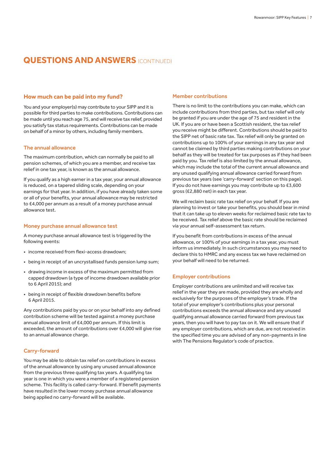### **How much can be paid into my fund?**

You and your employer(s) may contribute to your SIPP and it is possible for third parties to make contributions. Contributions can be made until you reach age 75, and will receive tax relief, provided you satisfy tax status requirements. Contributions can be made on behalf of a minor by others, including family members.

### The annual allowance

The maximum contribution, which can normally be paid to all pension schemes, of which you are a member, and receive tax relief in one tax year, is known as the annual allowance.

If you qualify as a high earner in a tax year, your annual allowance is reduced, on a tapered sliding scale, depending on your earnings for that year. In addition, if you have already taken some or all of your benefits, your annual allowance may be restricted to £4,000 per annum as a result of a money purchase annual allowance test.

#### Money purchase annual allowance test

A money purchase annual allowance test is triggered by the following events:

- income received from flexi-access drawdown;
- being in receipt of an uncrystallised funds pension lump sum;
- drawing income in excess of the maximum permitted from capped drawdown (a type of income drawdown available prior to 6 April 2015); and
- being in receipt of flexible drawdown benefits before 6 April 2015.

Any contributions paid by you or on your behalf into any defined contribution scheme will be tested against a money purchase annual allowance limit of £4,000 per annum. If this limit is exceeded, the amount of contributions over £4,000 will give rise to an annual allowance charge.

### Carry-forward

You may be able to obtain tax relief on contributions in excess of the annual allowance by using any unused annual allowance from the previous three qualifying tax years. A qualifying tax year is one in which you were a member of a registered pension scheme. This facility is called carry-forward. If benefit payments have resulted in the lower money purchase annual allowance being applied no carry-forward will be available.

### Member contributions

There is no limit to the contributions you can make, which can include contributions from third parties, but tax relief will only be granted if you are under the age of 75 and resident in the UK. If you are or have been a Scottish resident, the tax relief you receive might be different. Contributions should be paid to the SIPP net of basic rate tax. Tax relief will only be granted on contributions up to 100% of your earnings in any tax year and cannot be claimed by third parties making contributions on your behalf as they will be treated for tax purposes as if they had been paid by you. Tax relief is also limited by the annual allowance, which may include the total of the current annual allowance and any unused qualifying annual allowance carried forward from previous tax years (see 'carry-forward' section on this page). If you do not have earnings you may contribute up to £3,600 gross (£2,880 net) in each tax year.

We will reclaim basic rate tax relief on your behalf. If you are planning to invest or take your benefits, you should bear in mind that it can take up to eleven weeks for reclaimed basic rate tax to be received. Tax relief above the basic rate should be reclaimed via your annual self-assessment tax return.

If you benefit from contributions in excess of the annual allowance, or 100% of your earnings in a tax year, you must inform us immediately. In such circumstances you may need to declare this to HMRC and any excess tax we have reclaimed on your behalf will need to be returned.

### Employer contributions

Employer contributions are unlimited and will receive tax relief in the year they are made, provided they are wholly and exclusively for the purposes of the employer's trade. If the total of your employer's contributions plus your personal contributions exceeds the annual allowance and any unused qualifying annual allowance carried forward from previous tax years, then you will have to pay tax on it. We will ensure that if any employer contributions, which are due, are not received in the specified time you are advised of any non-payments in line with The Pensions Regulator's code of practice.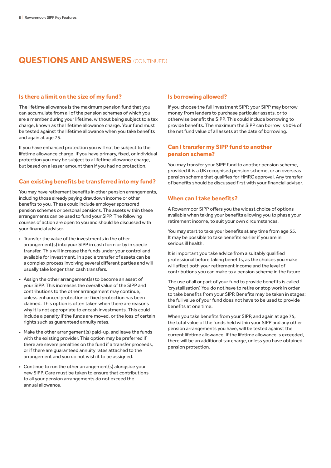### **Is there a limit on the size of my fund?**

The lifetime allowance is the maximum pension fund that you can accumulate from all of the pension schemes of which you are a member during your lifetime, without being subject to a tax charge, known as the lifetime allowance charge. Your fund must be tested against the lifetime allowance when you take benefits and again at age 75.

If you have enhanced protection you will not be subject to the lifetime allowance charge. If you have primary, fixed, or individual protection you may be subject to a lifetime allowance charge, but based on a lesser amount than if you had no protection.

## **Can existing benefits be transferred into my fund?**

You may have retirement benefits in other pension arrangements, including those already paying drawdown income or other benefits to you. These could include employer sponsored pension schemes or personal pensions. The assets within these arrangements can be used to fund your SIPP. The following courses of action are open to you and should be discussed with your financial adviser.

- Transfer the value of the investments in the other arrangement(s) into your SIPP in cash form or by in specie transfer. This will increase the funds under your control and available for investment. In specie transfer of assets can be a complex process involving several different parties and will usually take longer than cash transfers.
- Assign the other arrangement(s) to become an asset of your SIPP. This increases the overall value of the SIPP and contributions to the other arrangement may continue, unless enhanced protection or fixed protection has been claimed. This option is often taken when there are reasons why it is not appropriate to encash investments. This could include a penalty if the funds are moved, or the loss of certain rights such as guaranteed annuity rates.
- Make the other arrangement(s) paid-up, and leave the funds with the existing provider. This option may be preferred if there are severe penalties on the fund if a transfer proceeds, or if there are guaranteed annuity rates attached to the arrangement and you do not wish it to be assigned.
- Continue to run the other arrangement(s) alongside your new SIPP. Care must be taken to ensure that contributions to all your pension arrangements do not exceed the annual allowance.

## **Is borrowing allowed?**

If you choose the full investment SIPP, your SIPP may borrow money from lenders to purchase particular assets, or to otherwise benefit the SIPP. This could include borrowing to provide benefits. The maximum the SIPP can borrow is 50% of the net fund value of all assets at the date of borrowing.

### **Can I transfer my SIPP fund to another pension scheme?**

You may transfer your SIPP fund to another pension scheme, provided it is a UK recognised pension scheme, or an overseas pension scheme that qualifies for HMRC approval. Any transfer of benefits should be discussed first with your financial adviser.

## **When can I take benefits?**

A Rowanmoor SIPP offers you the widest choice of options available when taking your benefits allowing you to phase your retirement income, to suit your own circumstances.

You may start to take your benefits at any time from age 55. It may be possible to take benefits earlier if you are in serious ill health.

It is important you take advice from a suitably qualified professional before taking benefits, as the choices you make will affect both your retirement income and the level of contributions you can make to a pension scheme in the future.

The use of all or part of your fund to provide benefits is called 'crystallisation'. You do not have to retire or stop work in order to take benefits from your SIPP. Benefits may be taken in stages; the full value of your fund does not have to be used to provide benefits at one time.

When you take benefits from your SIPP, and again at age 75, the total value of the funds held within your SIPP and any other pension arrangements you have, will be tested against the current lifetime allowance. If the lifetime allowance is exceeded, there will be an additional tax charge, unless you have obtained pension protection.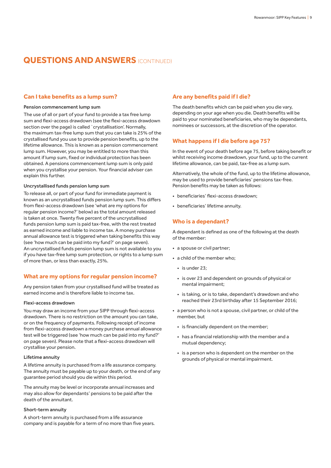### **Can I take benefits as a lump sum?**

#### Pension commencement lump sum

The use of all or part of your fund to provide a tax free lump sum and flexi-access drawdown (see the flexi-access drawdown section over the page) is called `crystallisation'. Normally, the maximum tax-free lump sum that you can take is 25% of the crystallised fund you use to provide pension benefits, up to the lifetime allowance. This is known as a pension commencement lump sum. However, you may be entitled to more than this amount if lump sum, fixed or individual protection has been obtained. A pensions commencement lump sum is only paid when you crystallise your pension. Your financial adviser can explain this further.

### Uncrystallised funds pension lump sum

To release all, or part of your fund for immediate payment is known as an uncrystallised funds pension lump sum. This differs from flexi-access drawdown (see 'what are my options for regular pension income?' below) as the total amount released is taken at once. Twenty five percent of the uncrystallised funds pension lump sum is paid tax-free, with the rest treated as earned income and liable to income tax. A money purchase annual allowance test is triggered when taking benefits this way (see 'how much can be paid into my fund?' on page seven). An uncrystallised funds pension lump sum is not available to you if you have tax-free lump sum protection, or rights to a lump sum of more than, or less than exactly, 25%.

### **What are my options for regular pension income?**

Any pension taken from your crystallised fund will be treated as earned income and is therefore liable to income tax.

### Flexi-access drawdown

You may draw an income from your SIPP through flexi-access drawdown. There is no restriction on the amount you can take, or on the frequency of payments. Following receipt of income from flexi-access drawdown a money purchase annual allowance test will be triggered (see 'how much can be paid into my fund?' on page seven). Please note that a flexi-access drawdown will crystallise your pension.

### Lifetime annuity

A lifetime annuity is purchased from a life assurance company. The annuity must be payable up to your death, or the end of any guarantee period should you die within this period.

The annuity may be level or incorporate annual increases and may also allow for dependants' pensions to be paid after the death of the annuitant.

#### Short-term annuity

A short-term annuity is purchased from a life assurance company and is payable for a term of no more than five years.

### **Are any benefits paid if I die?**

The death benefits which can be paid when you die vary, depending on your age when you die. Death benefits will be paid to your nominated beneficiaries, who may be dependants, nominees or successors, at the discretion of the operator.

### **What happens if I die before age 75?**

In the event of your death before age 75, before taking benefit or whilst receiving income drawdown, your fund, up to the current lifetime allowance, can be paid, tax-free as a lump sum.

Alternatively, the whole of the fund, up to the lifetime allowance, may be used to provide beneficiaries' pensions tax-free. Pension benefits may be taken as follows:

- beneficiaries' flexi-access drawdown;
- beneficiaries' lifetime annuity.

### **Who is a dependant?**

A dependant is defined as one of the following at the death of the member:

- a spouse or civil partner;
- a child of the member who;
	- $\cdot$  is under 23;
	- is over 23 and dependent on grounds of physical or mental impairment;
	- is taking, or is to take, dependant's drawdown and who reached their 23rd birthday after 15 September 2016;
- a person who is not a spouse, civil partner, or child of the member, but
	- is financially dependent on the member;
	- has a financial relationship with the member and a mutual dependency;
	- is a person who is dependent on the member on the grounds of physical or mental impairment.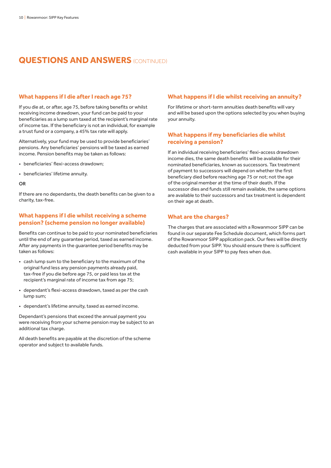### **What happens if I die after I reach age 75?**

If you die at, or after, age 75, before taking benefits or whilst receiving income drawdown, your fund can be paid to your beneficiaries as a lump sum taxed at the recipient's marginal rate of income tax. If the beneficiary is not an individual, for example a trust fund or a company, a 45% tax rate will apply.

Alternatively, your fund may be used to provide beneficiaries' pensions. Any beneficiaries' pensions will be taxed as earned income. Pension benefits may be taken as follows:

- beneficiaries' flexi-access drawdown;
- beneficiaries' lifetime annuity.

#### OR

If there are no dependants, the death benefits can be given to a charity, tax-free.

## **What happens if I die whilst receiving a scheme pension? (scheme pension no longer available)**

Benefits can continue to be paid to your nominated beneficiaries until the end of any guarantee period, taxed as earned income. After any payments in the guarantee period benefits may be taken as follows:

- cash lump sum to the beneficiary to the maximum of the original fund less any pension payments already paid, tax-free if you die before age 75, or paid less tax at the recipient's marginal rate of income tax from age 75;
- dependant's flexi-access drawdown, taxed as per the cash lump sum;
- dependant's lifetime annuity, taxed as earned income.

Dependant's pensions that exceed the annual payment you were receiving from your scheme pension may be subject to an additional tax charge.

All death benefits are payable at the discretion of the scheme operator and subject to available funds.

### **What happens if I die whilst receiving an annuity?**

For lifetime or short-term annuities death benefits will vary and will be based upon the options selected by you when buying your annuity.

### **What happens if my beneficiaries die whilst receiving a pension?**

If an individual receiving beneficiaries' flexi-access drawdown income dies, the same death benefits will be available for their nominated beneficiaries, known as successors. Tax treatment of payment to successors will depend on whether the first beneficiary died before reaching age 75 or not; not the age of the original member at the time of their death. If the successor dies and funds still remain available, the same options are available to their successors and tax treatment is dependent on their age at death.

### **What are the charges?**

The charges that are associated with a Rowanmoor SIPP can be found in our separate Fee Schedule document, which forms part of the Rowanmoor SIPP application pack. Our fees will be directly deducted from your SIPP. You should ensure there is sufficient cash available in your SIPP to pay fees when due.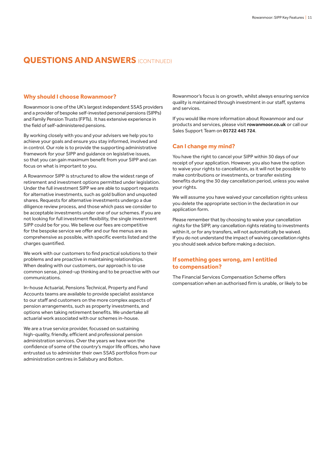### **Why should I choose Rowanmoor?**

Rowanmoor is one of the UK's largest independent SSAS providers and a provider of bespoke self-invested personal pensions (SIPPs) and Family Pension Trusts (FPTs). It has extensive experience in the field of self-administered pensions.

By working closely with you and your advisers we help you to achieve your goals and ensure you stay informed, involved and in control. Our role is to provide the supporting administrative framework for your SIPP and guidance on legislative issues, so that you can gain maximum benefit from your SIPP and can focus on what is important to you.

A Rowanmoor SIPP is structured to allow the widest range of retirement and investment options permitted under legislation. Under the full investment SIPP we are able to support requests for alternative investments, such as gold bullion and unquoted shares. Requests for alternative investments undergo a due diligence review process, and those which pass we consider to be acceptable investments under one of our schemes. If you are not looking for full investment flexibility, the single investment SIPP could be for you. We believe our fees are competitive for the bespoke service we offer and our fee menus are as comprehensive as possible, with specific events listed and the charges quantified.

We work with our customers to find practical solutions to their problems and are proactive in maintaining relationships. When dealing with our customers, our approach is to use common sense, joined-up thinking and to be proactive with our communications.

In-house Actuarial, Pensions Technical, Property and Fund Accounts teams are available to provide specialist assistance to our staff and customers on the more complex aspects of pension arrangements, such as property investments, and options when taking retirement benefits. We undertake all actuarial work associated with our schemes in-house.

We are a true service provider, focussed on sustaining high-quality, friendly, efficient and professional pension administration services. Over the years we have won the confidence of some of the country's major life offices, who have entrusted us to administer their own SSAS portfolios from our administration centres in Salisbury and Bolton.

Rowanmoor's focus is on growth, whilst always ensuring service quality is maintained through investment in our staff, systems and services.

If you would like more information about Rowanmoor and our products and services, please visit **[rowanmoor.co.uk](http://www.rowanmoor.co.uk)** or call our Sales Support Team on **01722 445 724**.

## **Can I change my mind?**

You have the right to cancel your SIPP within 30 days of our receipt of your application. However, you also have the option to waive your rights to cancellation, as it will not be possible to make contributions or investments, or transfer existing benefits during the 30 day cancellation period, unless you waive your rights.

We will assume you have waived your cancellation rights unless you delete the appropriate section in the declaration in our application form.

Please remember that by choosing to waive your cancellation rights for the SIPP, any cancellation rights relating to investments within it, or for any transfers, will not automatically be waived. If you do not understand the impact of waiving cancellation rights you should seek advice before making a decision.

## **If something goes wrong, am I entitled to compensation?**

The Financial Services Compensation Scheme offers compensation when an authorised firm is unable, or likely to be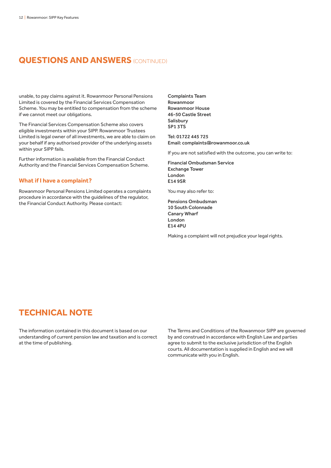unable, to pay claims against it. Rowanmoor Personal Pensions Limited is covered by the Financial Services Compensation Scheme. You may be entitled to compensation from the scheme if we cannot meet our obligations.

The Financial Services Compensation Scheme also covers eligible investments within your SIPP. Rowanmoor Trustees Limited is legal owner of all investments, we are able to claim on your behalf if any authorised provider of the underlying assets within your SIPP fails.

Further information is available from the Financial Conduct Authority and the Financial Services Compensation Scheme.

### **What if I have a complaint?**

Rowanmoor Personal Pensions Limited operates a complaints procedure in accordance with the guidelines of the regulator, the Financial Conduct Authority. Please contact:

Complaints Team Rowanmoor Rowanmoor House 46-50 Castle Street Salisbury SP1 3TS

Tel: 01722 445 725 Email: [complaints@rowanmoor.co.uk](mailto:complaints%40rowanmoor.co.uk?subject=)

If you are not satisfied with the outcome, you can write to:

Financial Ombudsman Service Exchange Tower London E14 9SR

You may also refer to:

Pensions Ombudsman 10 South Colonnade Canary Wharf London E14 4PU

Making a complaint will not prejudice your legal rights.

# **TECHNICAL NOTE**

The information contained in this document is based on our understanding of current pension law and taxation and is correct at the time of publishing.

The Terms and Conditions of the Rowanmoor SIPP are governed by and construed in accordance with English Law and parties agree to submit to the exclusive jurisdiction of the English courts. All documentation is supplied in English and we will communicate with you in English.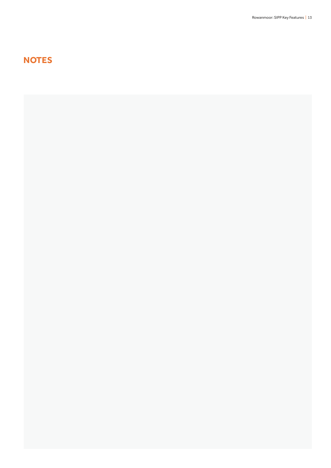# **NOTES**